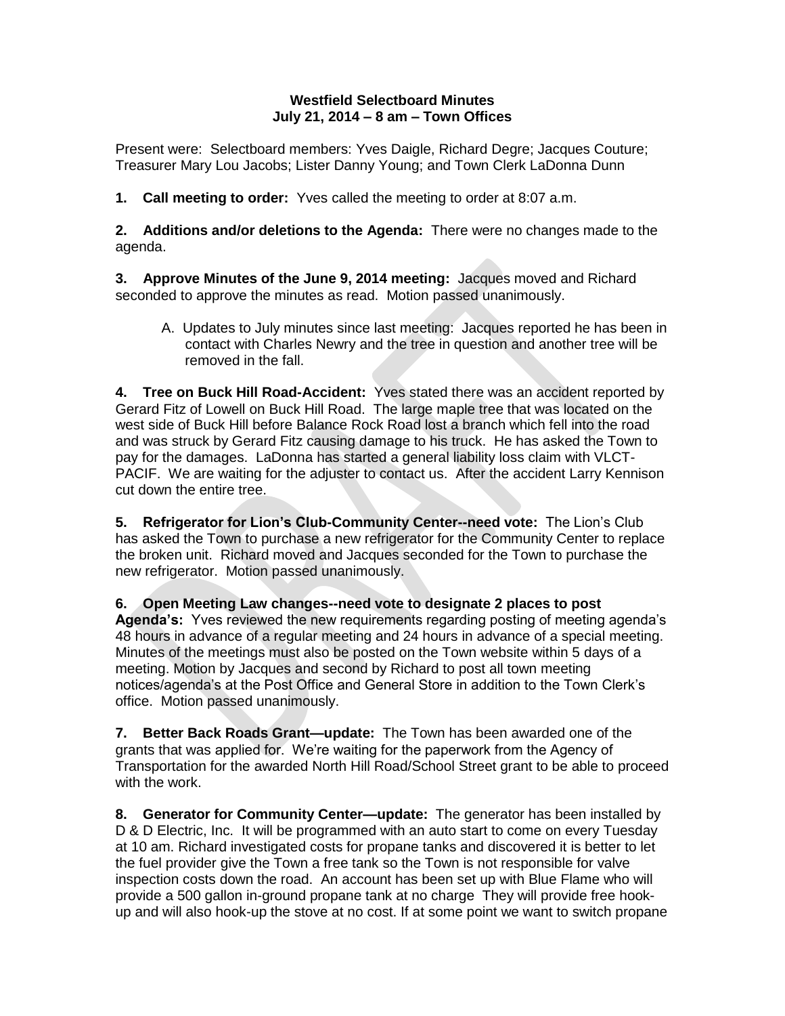## **Westfield Selectboard Minutes July 21, 2014 – 8 am – Town Offices**

Present were: Selectboard members: Yves Daigle, Richard Degre; Jacques Couture; Treasurer Mary Lou Jacobs; Lister Danny Young; and Town Clerk LaDonna Dunn

**1. Call meeting to order:** Yves called the meeting to order at 8:07 a.m.

**2. Additions and/or deletions to the Agenda:** There were no changes made to the agenda.

**3. Approve Minutes of the June 9, 2014 meeting:** Jacques moved and Richard seconded to approve the minutes as read. Motion passed unanimously.

A. Updates to July minutes since last meeting: Jacques reported he has been in contact with Charles Newry and the tree in question and another tree will be removed in the fall.

**4. Tree on Buck Hill Road-Accident:** Yves stated there was an accident reported by Gerard Fitz of Lowell on Buck Hill Road. The large maple tree that was located on the west side of Buck Hill before Balance Rock Road lost a branch which fell into the road and was struck by Gerard Fitz causing damage to his truck. He has asked the Town to pay for the damages. LaDonna has started a general liability loss claim with VLCT-PACIF. We are waiting for the adjuster to contact us. After the accident Larry Kennison cut down the entire tree.

**5. Refrigerator for Lion's Club-Community Center--need vote:** The Lion's Club has asked the Town to purchase a new refrigerator for the Community Center to replace the broken unit. Richard moved and Jacques seconded for the Town to purchase the new refrigerator. Motion passed unanimously.

**6. Open Meeting Law changes--need vote to designate 2 places to post Agenda's:** Yves reviewed the new requirements regarding posting of meeting agenda's 48 hours in advance of a regular meeting and 24 hours in advance of a special meeting. Minutes of the meetings must also be posted on the Town website within 5 days of a meeting. Motion by Jacques and second by Richard to post all town meeting notices/agenda's at the Post Office and General Store in addition to the Town Clerk's office. Motion passed unanimously.

**7. Better Back Roads Grant—update:** The Town has been awarded one of the grants that was applied for. We're waiting for the paperwork from the Agency of Transportation for the awarded North Hill Road/School Street grant to be able to proceed with the work.

**8. Generator for Community Center—update:** The generator has been installed by D & D Electric, Inc. It will be programmed with an auto start to come on every Tuesday at 10 am. Richard investigated costs for propane tanks and discovered it is better to let the fuel provider give the Town a free tank so the Town is not responsible for valve inspection costs down the road. An account has been set up with Blue Flame who will provide a 500 gallon in-ground propane tank at no charge They will provide free hookup and will also hook-up the stove at no cost. If at some point we want to switch propane